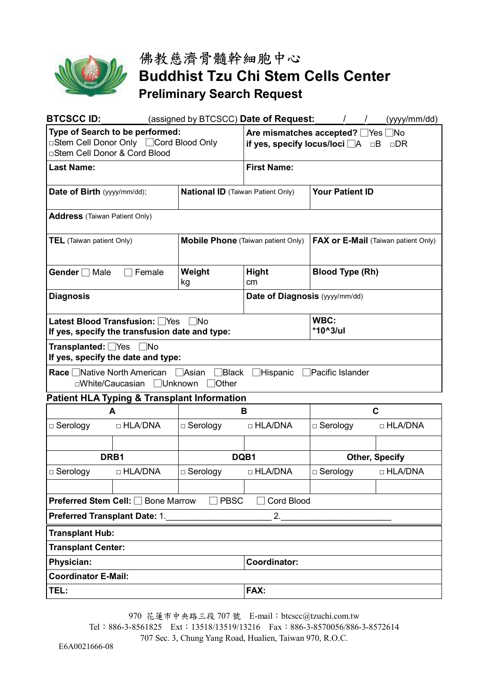

## 佛教慈濟骨髓幹細胞中心 **Buddhist Tzu Chi Stem Cells Center Preliminary Search Request**

| <b>BTCSCC ID:</b>                                                                                                                                            |                                                                           | (assigned by BTCSCC) Date of Request:     |                                                                                  |                                            | (yyyy/mm/dd)<br>$\sqrt{2}$ |
|--------------------------------------------------------------------------------------------------------------------------------------------------------------|---------------------------------------------------------------------------|-------------------------------------------|----------------------------------------------------------------------------------|--------------------------------------------|----------------------------|
| □Stem Cell Donor & Cord Blood                                                                                                                                | Type of Search to be performed:<br>□Stem Cell Donor Only □Cord Blood Only |                                           | Are mismatches accepted? Nes No<br>if yes, specify locus/loci □A □B<br>$\Box$ DR |                                            |                            |
| <b>Last Name:</b>                                                                                                                                            |                                                                           |                                           | <b>First Name:</b>                                                               |                                            |                            |
| Date of Birth (yyyy/mm/dd):                                                                                                                                  |                                                                           | <b>National ID</b> (Taiwan Patient Only)  |                                                                                  | <b>Your Patient ID</b>                     |                            |
| <b>Address</b> (Taiwan Patient Only)                                                                                                                         |                                                                           |                                           |                                                                                  |                                            |                            |
| <b>TEL</b> (Taiwan patient Only)                                                                                                                             |                                                                           | <b>Mobile Phone</b> (Taiwan patient Only) |                                                                                  | <b>FAX or E-Mail (Taiwan patient Only)</b> |                            |
| Gender □ Male<br>Female                                                                                                                                      |                                                                           | Weight<br>kg                              | <b>Hight</b><br>cm                                                               | <b>Blood Type (Rh)</b>                     |                            |
| <b>Diagnosis</b>                                                                                                                                             |                                                                           |                                           | Date of Diagnosis (yyyy/mm/dd)                                                   |                                            |                            |
| <b>Latest Blood Transfusion:</b> Nes<br>∣ No<br>If yes, specify the transfusion date and type:                                                               |                                                                           |                                           |                                                                                  | WBC:<br>*10^3/ul                           |                            |
| Transplanted: Ves No<br>If yes, specify the date and type:                                                                                                   |                                                                           |                                           |                                                                                  |                                            |                            |
| Race $\Box$ Native North American $\Box$ Asian<br>$\Box$ Black<br>$\Box$ Hispanic<br>$\Box$ Pacific Islander<br>□White/Caucasian<br>$\Box$ Unknown<br>∃Other |                                                                           |                                           |                                                                                  |                                            |                            |
| <b>Patient HLA Typing &amp; Transplant Information</b>                                                                                                       |                                                                           |                                           |                                                                                  |                                            |                            |
| A                                                                                                                                                            |                                                                           |                                           | B                                                                                | $\mathbf C$                                |                            |
| □ Serology                                                                                                                                                   | $\Box$ HLA/DNA                                                            | $\Box$ Serology                           | □ HLA/DNA                                                                        | □ Serology                                 | □ HLA/DNA                  |
| DRB1                                                                                                                                                         |                                                                           | DQB1                                      |                                                                                  | <b>Other, Specify</b>                      |                            |
| □ Serology                                                                                                                                                   | $\Box$ HLA/DNA                                                            | □ Serology                                | □ HLA/DNA                                                                        | □ Serology                                 | □ HLA/DNA                  |
| <b>Preferred Stem Cell:</b> □ Bone Marrow<br><b>PBSC</b><br>Cord Blood                                                                                       |                                                                           |                                           |                                                                                  |                                            |                            |
| <b>Preferred Transplant Date: 1.</b><br>2.                                                                                                                   |                                                                           |                                           |                                                                                  |                                            |                            |
| <b>Transplant Hub:</b>                                                                                                                                       |                                                                           |                                           |                                                                                  |                                            |                            |
| <b>Transplant Center:</b>                                                                                                                                    |                                                                           |                                           |                                                                                  |                                            |                            |
| Physician:                                                                                                                                                   |                                                                           |                                           | <b>Coordinator:</b>                                                              |                                            |                            |
| <b>Coordinator E-Mail:</b>                                                                                                                                   |                                                                           |                                           |                                                                                  |                                            |                            |
| TEL:                                                                                                                                                         |                                                                           |                                           | FAX:                                                                             |                                            |                            |

970 花蓮市中央路三段 707 號 E-mail:btcscc@tzuchi.com.tw Tel:886-3-8561825 Ext:13518/13519/13216 Fax:886-3-8570056/886-3-8572614 707 Sec. 3, Chung Yang Road, Hualien, Taiwan 970, R.O.C.